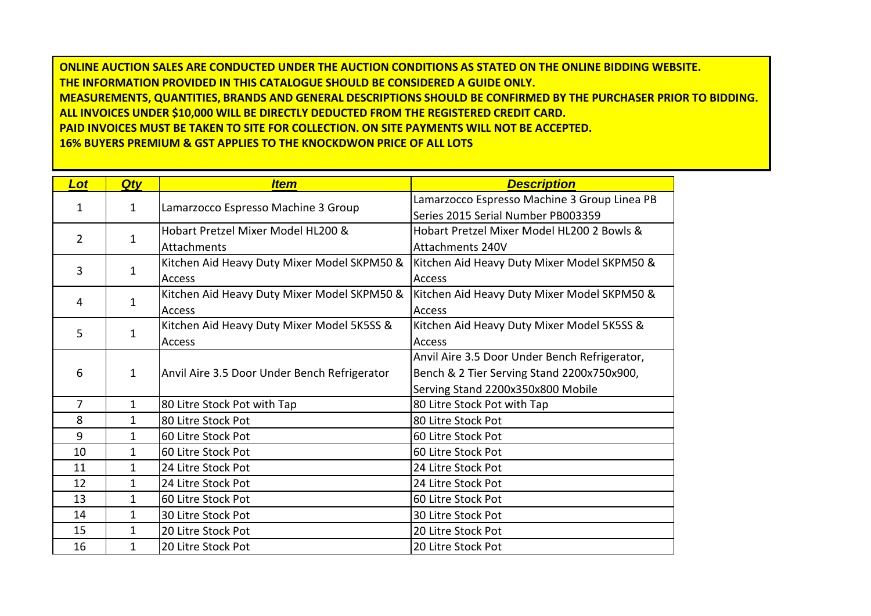**ONLINE AUCTION SALES ARE CONDUCTED UNDER THE AUCTION CONDITIONS AS STATED ON THE ONLINE BIDDING WEBSITE. THE INFORMATION PROVIDED IN THIS CATALOGUE SHOULD BE CONSIDERED A GUIDE ONLY. MEASUREMENTS, QUANTITIES, BRANDS AND GENERAL DESCRIPTIONS SHOULD BE CONFIRMED BY THE PURCHASER PRIOR TO BIDDING. ALL INVOICES UNDER \$10,000 WILL BE DIRECTLY DEDUCTED FROM THE REGISTERED CREDIT CARD. PAID INVOICES MUST BE TAKEN TO SITE FOR COLLECTION. ON SITE PAYMENTS WILL NOT BE ACCEPTED. 16% BUYERS PREMIUM & GST APPLIES TO THE KNOCKDWON PRICE OF ALL LOTS**

| <b>Lot</b>     | <b>Qty</b>   | <b>Item</b>                                  | <b>Description</b>                            |
|----------------|--------------|----------------------------------------------|-----------------------------------------------|
|                |              |                                              | Lamarzocco Espresso Machine 3 Group Linea PB  |
| 1              | $\mathbf{1}$ | Lamarzocco Espresso Machine 3 Group          | Series 2015 Serial Number PB003359            |
| $\overline{2}$ |              | Hobart Pretzel Mixer Model HL200 &           | Hobart Pretzel Mixer Model HL200 2 Bowls &    |
|                | $\mathbf 1$  | <b>Attachments</b>                           | <b>Attachments 240V</b>                       |
| 3              |              | Kitchen Aid Heavy Duty Mixer Model SKPM50 &  | Kitchen Aid Heavy Duty Mixer Model SKPM50 &   |
|                | $\mathbf 1$  | Access                                       | Access                                        |
| $\overline{4}$ | $\mathbf{1}$ | Kitchen Aid Heavy Duty Mixer Model SKPM50 &  | Kitchen Aid Heavy Duty Mixer Model SKPM50 &   |
|                |              | <b>Access</b>                                | Access                                        |
| 5              |              | Kitchen Aid Heavy Duty Mixer Model 5K5SS &   | Kitchen Aid Heavy Duty Mixer Model 5K5SS &    |
|                | 1            | <b>Access</b>                                | Access                                        |
|                | $\mathbf{1}$ |                                              | Anvil Aire 3.5 Door Under Bench Refrigerator, |
| 6              |              | Anvil Aire 3.5 Door Under Bench Refrigerator | Bench & 2 Tier Serving Stand 2200x750x900,    |
|                |              |                                              | Serving Stand 2200x350x800 Mobile             |
| $\overline{7}$ | $\mathbf 1$  | 80 Litre Stock Pot with Tap                  | 80 Litre Stock Pot with Tap                   |
| 8              | $\mathbf 1$  | 80 Litre Stock Pot                           | 80 Litre Stock Pot                            |
| 9              | $\mathbf{1}$ | 60 Litre Stock Pot                           | 60 Litre Stock Pot                            |
| 10             | $\mathbf{1}$ | 60 Litre Stock Pot                           | 60 Litre Stock Pot                            |
| 11             | $\mathbf{1}$ | 24 Litre Stock Pot                           | 24 Litre Stock Pot                            |
| 12             | $\mathbf{1}$ | 24 Litre Stock Pot                           | 24 Litre Stock Pot                            |
| 13             | $\mathbf{1}$ | 60 Litre Stock Pot                           | 60 Litre Stock Pot                            |
| 14             | $\mathbf{1}$ | 30 Litre Stock Pot                           | 30 Litre Stock Pot                            |
| 15             | 1            | 20 Litre Stock Pot                           | 20 Litre Stock Pot                            |
| 16             | $\mathbf 1$  | 20 Litre Stock Pot                           | 20 Litre Stock Pot                            |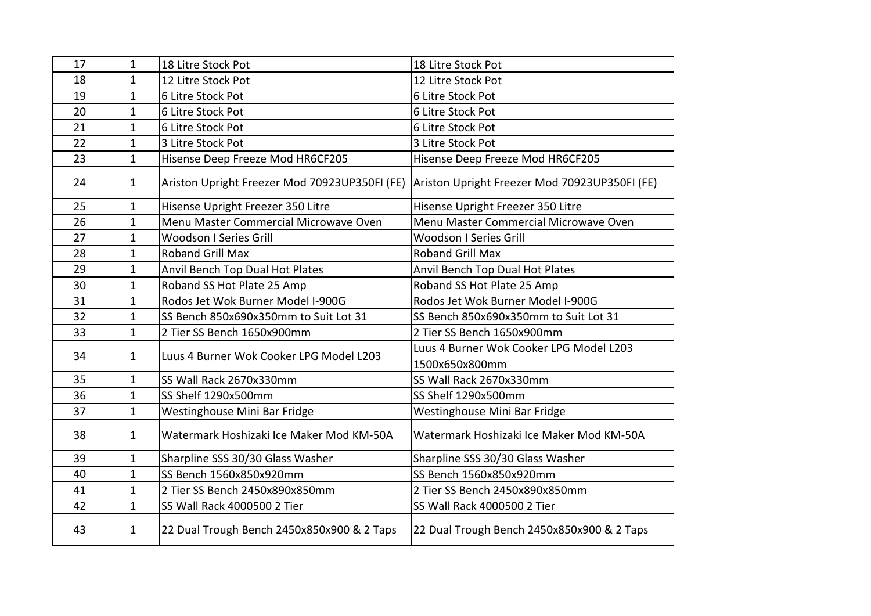| 17 | $\mathbf{1}$ | 18 Litre Stock Pot                            | 18 Litre Stock Pot                            |
|----|--------------|-----------------------------------------------|-----------------------------------------------|
| 18 | $\mathbf{1}$ | 12 Litre Stock Pot                            | 12 Litre Stock Pot                            |
| 19 | $\mathbf{1}$ | 6 Litre Stock Pot                             | 6 Litre Stock Pot                             |
| 20 | $\mathbf 1$  | 6 Litre Stock Pot                             | 6 Litre Stock Pot                             |
| 21 | $\mathbf{1}$ | 6 Litre Stock Pot                             | 6 Litre Stock Pot                             |
| 22 | $\mathbf{1}$ | 3 Litre Stock Pot                             | 3 Litre Stock Pot                             |
| 23 | $\mathbf{1}$ | Hisense Deep Freeze Mod HR6CF205              | Hisense Deep Freeze Mod HR6CF205              |
| 24 | $\mathbf{1}$ | Ariston Upright Freezer Mod 70923UP350FI (FE) | Ariston Upright Freezer Mod 70923UP350FI (FE) |
| 25 | $\mathbf{1}$ | Hisense Upright Freezer 350 Litre             | Hisense Upright Freezer 350 Litre             |
| 26 | $\mathbf{1}$ | Menu Master Commercial Microwave Oven         | Menu Master Commercial Microwave Oven         |
| 27 | $\mathbf{1}$ | <b>Woodson I Series Grill</b>                 | Woodson I Series Grill                        |
| 28 | $\mathbf{1}$ | <b>Roband Grill Max</b>                       | <b>Roband Grill Max</b>                       |
| 29 | $\mathbf{1}$ | Anvil Bench Top Dual Hot Plates               | Anvil Bench Top Dual Hot Plates               |
| 30 | $\mathbf{1}$ | Roband SS Hot Plate 25 Amp                    | Roband SS Hot Plate 25 Amp                    |
| 31 | $\mathbf{1}$ | Rodos Jet Wok Burner Model I-900G             | Rodos Jet Wok Burner Model I-900G             |
| 32 | $\mathbf{1}$ | SS Bench 850x690x350mm to Suit Lot 31         | SS Bench 850x690x350mm to Suit Lot 31         |
| 33 | $\mathbf{1}$ | 2 Tier SS Bench 1650x900mm                    | 2 Tier SS Bench 1650x900mm                    |
| 34 | $\mathbf{1}$ | Luus 4 Burner Wok Cooker LPG Model L203       | Luus 4 Burner Wok Cooker LPG Model L203       |
|    |              |                                               | 1500x650x800mm                                |
| 35 | $\mathbf 1$  | SS Wall Rack 2670x330mm                       | SS Wall Rack 2670x330mm                       |
| 36 | $\mathbf{1}$ | SS Shelf 1290x500mm                           | SS Shelf 1290x500mm                           |
| 37 | $\mathbf{1}$ | Westinghouse Mini Bar Fridge                  | Westinghouse Mini Bar Fridge                  |
| 38 | $\mathbf{1}$ | Watermark Hoshizaki Ice Maker Mod KM-50A      | Watermark Hoshizaki Ice Maker Mod KM-50A      |
| 39 | $\mathbf 1$  | Sharpline SSS 30/30 Glass Washer              | Sharpline SSS 30/30 Glass Washer              |
| 40 | $\mathbf 1$  | SS Bench 1560x850x920mm                       | SS Bench 1560x850x920mm                       |
| 41 | $\mathbf{1}$ | 2 Tier SS Bench 2450x890x850mm                | 2 Tier SS Bench 2450x890x850mm                |
| 42 | $\mathbf{1}$ | SS Wall Rack 4000500 2 Tier                   | SS Wall Rack 4000500 2 Tier                   |
| 43 | $\mathbf{1}$ | 22 Dual Trough Bench 2450x850x900 & 2 Taps    | 22 Dual Trough Bench 2450x850x900 & 2 Taps    |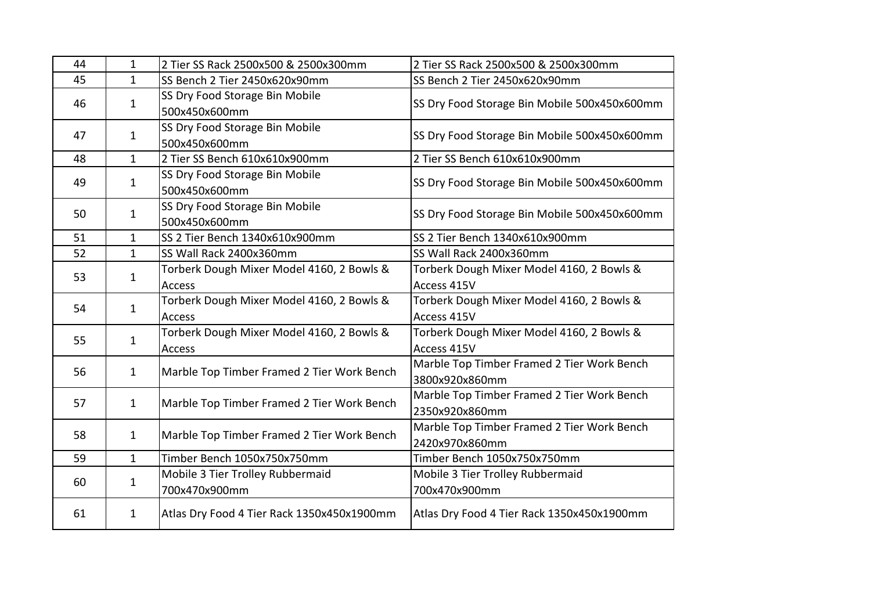| 44 | $\mathbf{1}$ | 2 Tier SS Rack 2500x500 & 2500x300mm            | 2 Tier SS Rack 2500x500 & 2500x300mm         |
|----|--------------|-------------------------------------------------|----------------------------------------------|
| 45 | $\mathbf{1}$ | SS Bench 2 Tier 2450x620x90mm                   | SS Bench 2 Tier 2450x620x90mm                |
| 46 | 1            | SS Dry Food Storage Bin Mobile<br>500x450x600mm | SS Dry Food Storage Bin Mobile 500x450x600mm |
| 47 | 1            | SS Dry Food Storage Bin Mobile<br>500x450x600mm | SS Dry Food Storage Bin Mobile 500x450x600mm |
| 48 | $\mathbf{1}$ | 2 Tier SS Bench 610x610x900mm                   | 2 Tier SS Bench 610x610x900mm                |
| 49 | $\mathbf 1$  | SS Dry Food Storage Bin Mobile<br>500x450x600mm | SS Dry Food Storage Bin Mobile 500x450x600mm |
| 50 | $\mathbf 1$  | SS Dry Food Storage Bin Mobile<br>500x450x600mm | SS Dry Food Storage Bin Mobile 500x450x600mm |
| 51 | $\mathbf{1}$ | SS 2 Tier Bench 1340x610x900mm                  | SS 2 Tier Bench 1340x610x900mm               |
| 52 | $\mathbf{1}$ | SS Wall Rack 2400x360mm                         | SS Wall Rack 2400x360mm                      |
| 53 | $\mathbf 1$  | Torberk Dough Mixer Model 4160, 2 Bowls &       | Torberk Dough Mixer Model 4160, 2 Bowls &    |
|    |              | Access                                          | Access 415V                                  |
| 54 | $\mathbf 1$  | Torberk Dough Mixer Model 4160, 2 Bowls &       | Torberk Dough Mixer Model 4160, 2 Bowls &    |
|    |              | Access                                          | Access 415V                                  |
| 55 | $\mathbf 1$  | Torberk Dough Mixer Model 4160, 2 Bowls &       | Torberk Dough Mixer Model 4160, 2 Bowls &    |
|    |              | Access                                          | Access 415V                                  |
| 56 | $\mathbf{1}$ | Marble Top Timber Framed 2 Tier Work Bench      | Marble Top Timber Framed 2 Tier Work Bench   |
|    |              |                                                 | 3800x920x860mm                               |
| 57 | $\mathbf{1}$ | Marble Top Timber Framed 2 Tier Work Bench      | Marble Top Timber Framed 2 Tier Work Bench   |
|    |              |                                                 | 2350x920x860mm                               |
| 58 | $\mathbf{1}$ | Marble Top Timber Framed 2 Tier Work Bench      | Marble Top Timber Framed 2 Tier Work Bench   |
|    |              |                                                 | 2420x970x860mm                               |
| 59 | $\mathbf{1}$ | Timber Bench 1050x750x750mm                     | Timber Bench 1050x750x750mm                  |
| 60 | 1            | Mobile 3 Tier Trolley Rubbermaid                | Mobile 3 Tier Trolley Rubbermaid             |
|    |              | 700x470x900mm                                   | 700x470x900mm                                |
| 61 | $\mathbf{1}$ | Atlas Dry Food 4 Tier Rack 1350x450x1900mm      | Atlas Dry Food 4 Tier Rack 1350x450x1900mm   |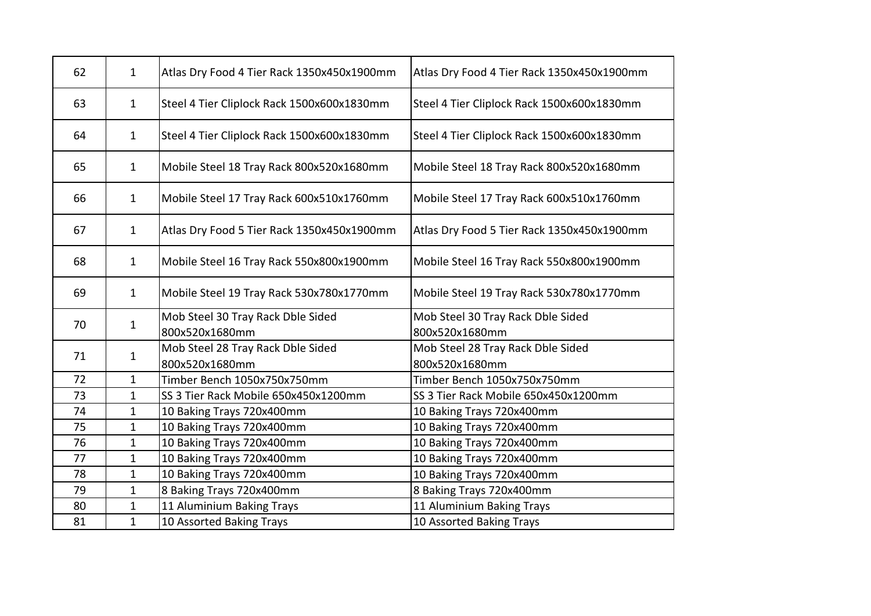| 62 | $\mathbf{1}$ | Atlas Dry Food 4 Tier Rack 1350x450x1900mm          | Atlas Dry Food 4 Tier Rack 1350x450x1900mm          |
|----|--------------|-----------------------------------------------------|-----------------------------------------------------|
| 63 | $\mathbf{1}$ | Steel 4 Tier Cliplock Rack 1500x600x1830mm          | Steel 4 Tier Cliplock Rack 1500x600x1830mm          |
| 64 | $\mathbf{1}$ | Steel 4 Tier Cliplock Rack 1500x600x1830mm          | Steel 4 Tier Cliplock Rack 1500x600x1830mm          |
| 65 | $\mathbf{1}$ | Mobile Steel 18 Tray Rack 800x520x1680mm            | Mobile Steel 18 Tray Rack 800x520x1680mm            |
| 66 | $\mathbf{1}$ | Mobile Steel 17 Tray Rack 600x510x1760mm            | Mobile Steel 17 Tray Rack 600x510x1760mm            |
| 67 | $\mathbf{1}$ | Atlas Dry Food 5 Tier Rack 1350x450x1900mm          | Atlas Dry Food 5 Tier Rack 1350x450x1900mm          |
| 68 | $\mathbf{1}$ | Mobile Steel 16 Tray Rack 550x800x1900mm            | Mobile Steel 16 Tray Rack 550x800x1900mm            |
| 69 | $\mathbf{1}$ | Mobile Steel 19 Tray Rack 530x780x1770mm            | Mobile Steel 19 Tray Rack 530x780x1770mm            |
| 70 | 1            | Mob Steel 30 Tray Rack Dble Sided<br>800x520x1680mm | Mob Steel 30 Tray Rack Dble Sided<br>800x520x1680mm |
| 71 | 1            | Mob Steel 28 Tray Rack Dble Sided<br>800x520x1680mm | Mob Steel 28 Tray Rack Dble Sided<br>800x520x1680mm |
| 72 | 1            | Timber Bench 1050x750x750mm                         | Timber Bench 1050x750x750mm                         |
| 73 | $\mathbf{1}$ | SS 3 Tier Rack Mobile 650x450x1200mm                | SS 3 Tier Rack Mobile 650x450x1200mm                |
| 74 | 1            | 10 Baking Trays 720x400mm                           | 10 Baking Trays 720x400mm                           |
| 75 | 1            | 10 Baking Trays 720x400mm                           | 10 Baking Trays 720x400mm                           |
| 76 | $\mathbf 1$  | 10 Baking Trays 720x400mm                           | 10 Baking Trays 720x400mm                           |
| 77 | $\mathbf 1$  | 10 Baking Trays 720x400mm                           | 10 Baking Trays 720x400mm                           |
| 78 | 1            | 10 Baking Trays 720x400mm                           | 10 Baking Trays 720x400mm                           |
| 79 | $\mathbf{1}$ | 8 Baking Trays 720x400mm                            | 8 Baking Trays 720x400mm                            |
| 80 | 1            | 11 Aluminium Baking Trays                           | 11 Aluminium Baking Trays                           |
| 81 | $\mathbf{1}$ | 10 Assorted Baking Trays                            | 10 Assorted Baking Trays                            |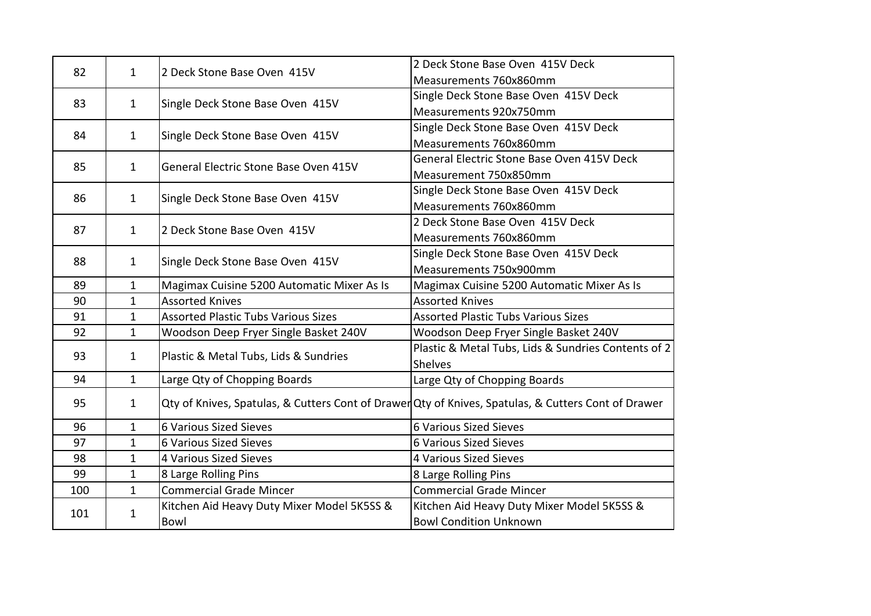| 82  | $\mathbf{1}$ | 2 Deck Stone Base Oven 415V                | 2 Deck Stone Base Oven 415V Deck                                                                    |
|-----|--------------|--------------------------------------------|-----------------------------------------------------------------------------------------------------|
|     |              |                                            | Measurements 760x860mm                                                                              |
| 83  | $\mathbf{1}$ |                                            | Single Deck Stone Base Oven 415V Deck                                                               |
|     |              | Single Deck Stone Base Oven 415V           | Measurements 920x750mm                                                                              |
| 84  | $\mathbf{1}$ |                                            | Single Deck Stone Base Oven 415V Deck                                                               |
|     |              | Single Deck Stone Base Oven 415V           | Measurements 760x860mm                                                                              |
| 85  | $\mathbf{1}$ | General Electric Stone Base Oven 415V      | General Electric Stone Base Oven 415V Deck                                                          |
|     |              |                                            | Measurement 750x850mm                                                                               |
| 86  | $\mathbf{1}$ | Single Deck Stone Base Oven 415V           | Single Deck Stone Base Oven 415V Deck                                                               |
|     |              |                                            | Measurements 760x860mm                                                                              |
| 87  | $\mathbf{1}$ | 2 Deck Stone Base Oven 415V                | 2 Deck Stone Base Oven 415V Deck                                                                    |
|     |              |                                            | Measurements 760x860mm                                                                              |
| 88  | $\mathbf{1}$ | Single Deck Stone Base Oven 415V           | Single Deck Stone Base Oven 415V Deck                                                               |
|     |              |                                            | Measurements 750x900mm                                                                              |
| 89  | $\mathbf{1}$ | Magimax Cuisine 5200 Automatic Mixer As Is | Magimax Cuisine 5200 Automatic Mixer As Is                                                          |
| 90  | $\mathbf{1}$ | <b>Assorted Knives</b>                     | <b>Assorted Knives</b>                                                                              |
| 91  | 1            | <b>Assorted Plastic Tubs Various Sizes</b> | <b>Assorted Plastic Tubs Various Sizes</b>                                                          |
| 92  | $\mathbf{1}$ | Woodson Deep Fryer Single Basket 240V      | Woodson Deep Fryer Single Basket 240V                                                               |
| 93  | $\mathbf{1}$ | Plastic & Metal Tubs, Lids & Sundries      | Plastic & Metal Tubs, Lids & Sundries Contents of 2                                                 |
|     |              |                                            | <b>Shelves</b>                                                                                      |
| 94  | $\mathbf{1}$ | Large Qty of Chopping Boards               | Large Qty of Chopping Boards                                                                        |
| 95  | $\mathbf{1}$ |                                            | Qty of Knives, Spatulas, & Cutters Cont of Drawer Qty of Knives, Spatulas, & Cutters Cont of Drawer |
| 96  | $\mathbf{1}$ | <b>6 Various Sized Sieves</b>              | <b>6 Various Sized Sieves</b>                                                                       |
| 97  | $\mathbf 1$  | <b>6 Various Sized Sieves</b>              | <b>6 Various Sized Sieves</b>                                                                       |
| 98  | $\mathbf{1}$ | 4 Various Sized Sieves                     | 4 Various Sized Sieves                                                                              |
| 99  | $\mathbf 1$  | 8 Large Rolling Pins                       | 8 Large Rolling Pins                                                                                |
| 100 | $\mathbf{1}$ | <b>Commercial Grade Mincer</b>             | <b>Commercial Grade Mincer</b>                                                                      |
|     |              | Kitchen Aid Heavy Duty Mixer Model 5K5SS & | Kitchen Aid Heavy Duty Mixer Model 5K5SS &                                                          |
| 101 | $\mathbf{1}$ | Bowl                                       | <b>Bowl Condition Unknown</b>                                                                       |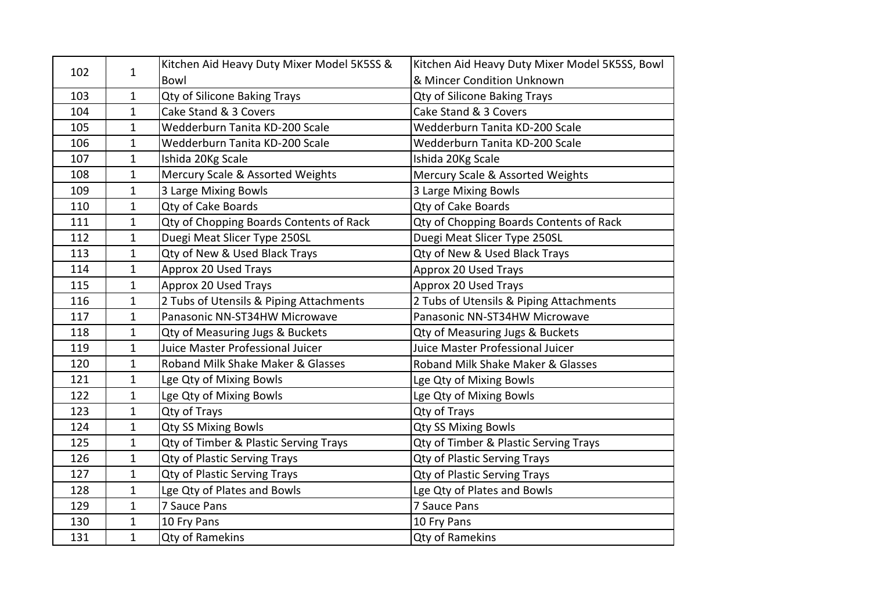| 102 | $\mathbf 1$  | Kitchen Aid Heavy Duty Mixer Model 5K5SS & | Kitchen Aid Heavy Duty Mixer Model 5K5SS, Bowl |
|-----|--------------|--------------------------------------------|------------------------------------------------|
|     |              | Bowl                                       | & Mincer Condition Unknown                     |
| 103 | $\mathbf{1}$ | Qty of Silicone Baking Trays               | Qty of Silicone Baking Trays                   |
| 104 | $\mathbf{1}$ | Cake Stand & 3 Covers                      | Cake Stand & 3 Covers                          |
| 105 | $\mathbf{1}$ | Wedderburn Tanita KD-200 Scale             | Wedderburn Tanita KD-200 Scale                 |
| 106 | $\mathbf{1}$ | Wedderburn Tanita KD-200 Scale             | Wedderburn Tanita KD-200 Scale                 |
| 107 | $\mathbf{1}$ | Ishida 20Kg Scale                          | Ishida 20Kg Scale                              |
| 108 | $\mathbf{1}$ | Mercury Scale & Assorted Weights           | Mercury Scale & Assorted Weights               |
| 109 | $\mathbf{1}$ | 3 Large Mixing Bowls                       | 3 Large Mixing Bowls                           |
| 110 | $\mathbf{1}$ | Qty of Cake Boards                         | Qty of Cake Boards                             |
| 111 | $\mathbf{1}$ | Qty of Chopping Boards Contents of Rack    | Qty of Chopping Boards Contents of Rack        |
| 112 | $\mathbf 1$  | Duegi Meat Slicer Type 250SL               | Duegi Meat Slicer Type 250SL                   |
| 113 | $\mathbf{1}$ | Qty of New & Used Black Trays              | Qty of New & Used Black Trays                  |
| 114 | $\mathbf{1}$ | Approx 20 Used Trays                       | Approx 20 Used Trays                           |
| 115 | $\mathbf{1}$ | Approx 20 Used Trays                       | Approx 20 Used Trays                           |
| 116 | $\mathbf{1}$ | 2 Tubs of Utensils & Piping Attachments    | 2 Tubs of Utensils & Piping Attachments        |
| 117 | $\mathbf{1}$ | Panasonic NN-ST34HW Microwave              | Panasonic NN-ST34HW Microwave                  |
| 118 | $\mathbf{1}$ | Qty of Measuring Jugs & Buckets            | Qty of Measuring Jugs & Buckets                |
| 119 | $\mathbf{1}$ | Juice Master Professional Juicer           | Juice Master Professional Juicer               |
| 120 | $\mathbf{1}$ | Roband Milk Shake Maker & Glasses          | Roband Milk Shake Maker & Glasses              |
| 121 | $\mathbf{1}$ | Lge Qty of Mixing Bowls                    | Lge Qty of Mixing Bowls                        |
| 122 | $\mathbf{1}$ | Lge Qty of Mixing Bowls                    | Lge Qty of Mixing Bowls                        |
| 123 | $\mathbf{1}$ | Qty of Trays                               | Qty of Trays                                   |
| 124 | $\mathbf{1}$ | <b>Qty SS Mixing Bowls</b>                 | <b>Qty SS Mixing Bowls</b>                     |
| 125 | $\mathbf{1}$ | Qty of Timber & Plastic Serving Trays      | Qty of Timber & Plastic Serving Trays          |
| 126 | $\mathbf{1}$ | <b>Qty of Plastic Serving Trays</b>        | <b>Qty of Plastic Serving Trays</b>            |
| 127 | $\mathbf{1}$ | <b>Qty of Plastic Serving Trays</b>        | <b>Qty of Plastic Serving Trays</b>            |
| 128 | $\mathbf{1}$ | Lge Qty of Plates and Bowls                | Lge Qty of Plates and Bowls                    |
| 129 | $\mathbf{1}$ | 7 Sauce Pans                               | 7 Sauce Pans                                   |
| 130 | $\mathbf{1}$ | 10 Fry Pans                                | 10 Fry Pans                                    |
| 131 | $\mathbf{1}$ | <b>Qty of Ramekins</b>                     | Qty of Ramekins                                |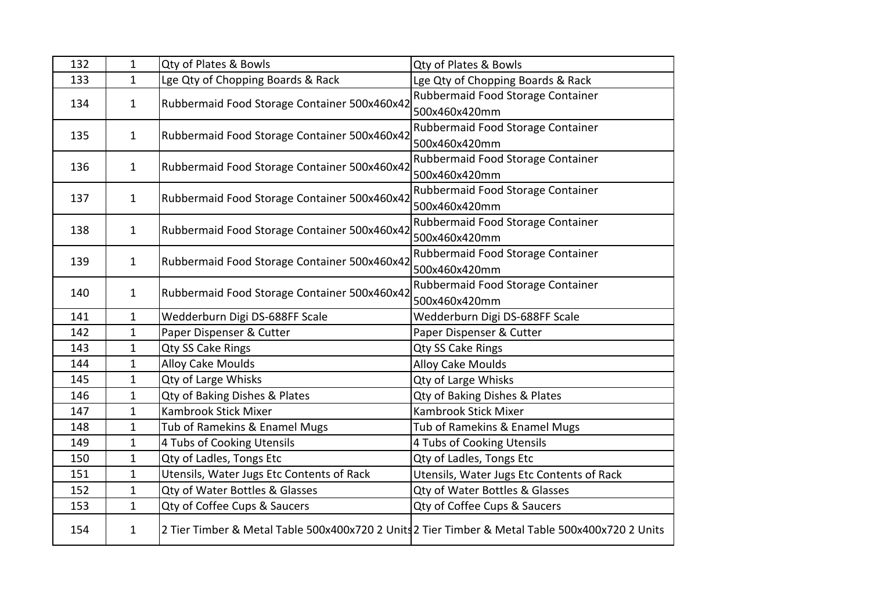| 132 | $\mathbf{1}$ | Qty of Plates & Bowls                        | Qty of Plates & Bowls                                                                           |
|-----|--------------|----------------------------------------------|-------------------------------------------------------------------------------------------------|
| 133 | $\mathbf{1}$ | Lge Qty of Chopping Boards & Rack            | Lge Qty of Chopping Boards & Rack                                                               |
| 134 | $\mathbf{1}$ | Rubbermaid Food Storage Container 500x460x42 | Rubbermaid Food Storage Container                                                               |
|     |              |                                              | 500x460x420mm                                                                                   |
|     |              |                                              | Rubbermaid Food Storage Container                                                               |
| 135 | $\mathbf{1}$ | Rubbermaid Food Storage Container 500x460x42 | 500x460x420mm                                                                                   |
| 136 | $\mathbf{1}$ |                                              | Rubbermaid Food Storage Container                                                               |
|     |              | Rubbermaid Food Storage Container 500x460x42 | 500x460x420mm                                                                                   |
| 137 | $\mathbf{1}$ |                                              | Rubbermaid Food Storage Container                                                               |
|     |              | Rubbermaid Food Storage Container 500x460x42 | 500x460x420mm                                                                                   |
| 138 | $\mathbf{1}$ |                                              | Rubbermaid Food Storage Container                                                               |
|     |              | Rubbermaid Food Storage Container 500x460x42 | 500x460x420mm                                                                                   |
| 139 | $\mathbf{1}$ | Rubbermaid Food Storage Container 500x460x42 | Rubbermaid Food Storage Container                                                               |
|     |              |                                              | 500x460x420mm                                                                                   |
| 140 | 1            | Rubbermaid Food Storage Container 500x460x42 | Rubbermaid Food Storage Container                                                               |
|     |              |                                              | 500x460x420mm                                                                                   |
| 141 | $\mathbf 1$  | Wedderburn Digi DS-688FF Scale               | Wedderburn Digi DS-688FF Scale                                                                  |
| 142 | $\mathbf{1}$ | Paper Dispenser & Cutter                     | Paper Dispenser & Cutter                                                                        |
| 143 | $\mathbf{1}$ | <b>Qty SS Cake Rings</b>                     | Qty SS Cake Rings                                                                               |
| 144 | $\mathbf 1$  | <b>Alloy Cake Moulds</b>                     | <b>Alloy Cake Moulds</b>                                                                        |
| 145 | $\mathbf{1}$ | Qty of Large Whisks                          | Qty of Large Whisks                                                                             |
| 146 | $\mathbf{1}$ | Qty of Baking Dishes & Plates                | Qty of Baking Dishes & Plates                                                                   |
| 147 | $\mathbf 1$  | Kambrook Stick Mixer                         | Kambrook Stick Mixer                                                                            |
| 148 | $\mathbf 1$  | Tub of Ramekins & Enamel Mugs                | Tub of Ramekins & Enamel Mugs                                                                   |
| 149 | $\mathbf{1}$ | 4 Tubs of Cooking Utensils                   | 4 Tubs of Cooking Utensils                                                                      |
| 150 | $\mathbf{1}$ | Qty of Ladles, Tongs Etc                     | Qty of Ladles, Tongs Etc                                                                        |
| 151 | $\mathbf 1$  | Utensils, Water Jugs Etc Contents of Rack    | Utensils, Water Jugs Etc Contents of Rack                                                       |
| 152 | $\mathbf{1}$ | Qty of Water Bottles & Glasses               | Qty of Water Bottles & Glasses                                                                  |
| 153 | $\mathbf 1$  | Qty of Coffee Cups & Saucers                 | Qty of Coffee Cups & Saucers                                                                    |
| 154 | $\mathbf 1$  |                                              | 2 Tier Timber & Metal Table 500x400x720 2 Units 2 Tier Timber & Metal Table 500x400x720 2 Units |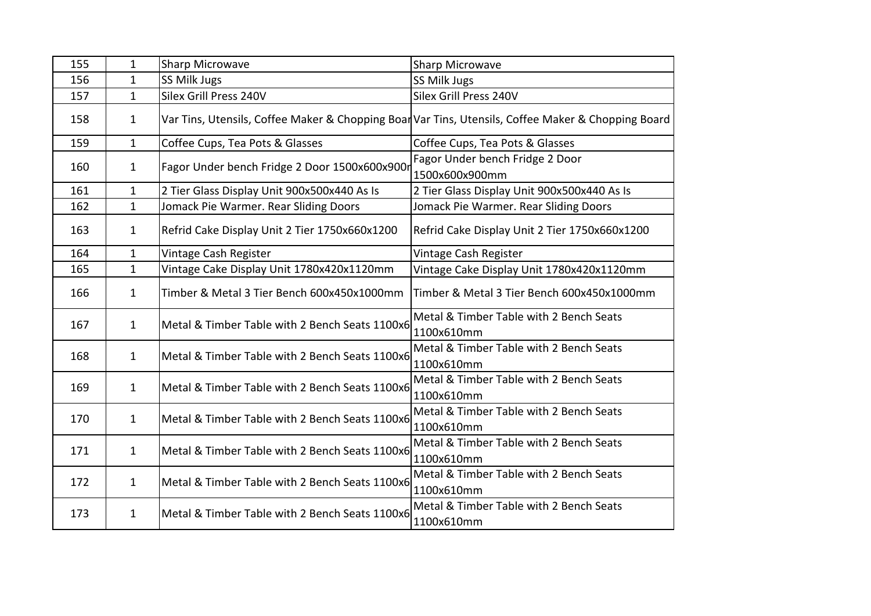| 155 | $\mathbf{1}$ | <b>Sharp Microwave</b>                         | Sharp Microwave                                                                                    |
|-----|--------------|------------------------------------------------|----------------------------------------------------------------------------------------------------|
| 156 | 1            | SS Milk Jugs                                   | SS Milk Jugs                                                                                       |
| 157 | $\mathbf{1}$ | Silex Grill Press 240V                         | Silex Grill Press 240V                                                                             |
| 158 | $\mathbf{1}$ |                                                | Var Tins, Utensils, Coffee Maker & Chopping Boar Var Tins, Utensils, Coffee Maker & Chopping Board |
| 159 | $\mathbf 1$  | Coffee Cups, Tea Pots & Glasses                | Coffee Cups, Tea Pots & Glasses                                                                    |
| 160 | $\mathbf{1}$ | Fagor Under bench Fridge 2 Door 1500x600x900r  | Fagor Under bench Fridge 2 Door<br>1500x600x900mm                                                  |
| 161 | 1            | 2 Tier Glass Display Unit 900x500x440 As Is    | 2 Tier Glass Display Unit 900x500x440 As Is                                                        |
| 162 | $\mathbf 1$  | Jomack Pie Warmer. Rear Sliding Doors          | Jomack Pie Warmer. Rear Sliding Doors                                                              |
| 163 | $\mathbf{1}$ | Refrid Cake Display Unit 2 Tier 1750x660x1200  | Refrid Cake Display Unit 2 Tier 1750x660x1200                                                      |
| 164 | $\mathbf{1}$ | Vintage Cash Register                          | Vintage Cash Register                                                                              |
| 165 | $\mathbf{1}$ | Vintage Cake Display Unit 1780x420x1120mm      | Vintage Cake Display Unit 1780x420x1120mm                                                          |
| 166 | 1            | Timber & Metal 3 Tier Bench 600x450x1000mm     | Timber & Metal 3 Tier Bench 600x450x1000mm                                                         |
| 167 | $\mathbf{1}$ | Metal & Timber Table with 2 Bench Seats 1100x6 | Metal & Timber Table with 2 Bench Seats<br>1100x610mm                                              |
| 168 | $\mathbf{1}$ | Metal & Timber Table with 2 Bench Seats 1100x6 | Metal & Timber Table with 2 Bench Seats<br>1100x610mm                                              |
| 169 | $\mathbf{1}$ | Metal & Timber Table with 2 Bench Seats 1100x6 | Metal & Timber Table with 2 Bench Seats<br>1100x610mm                                              |
| 170 | $\mathbf{1}$ | Metal & Timber Table with 2 Bench Seats 1100x6 | Metal & Timber Table with 2 Bench Seats<br>1100x610mm                                              |
| 171 | $\mathbf{1}$ | Metal & Timber Table with 2 Bench Seats 1100x6 | Metal & Timber Table with 2 Bench Seats<br>1100x610mm                                              |
| 172 | $\mathbf{1}$ | Metal & Timber Table with 2 Bench Seats 1100x6 | Metal & Timber Table with 2 Bench Seats<br>1100x610mm                                              |
| 173 | $\mathbf{1}$ | Metal & Timber Table with 2 Bench Seats 1100x6 | Metal & Timber Table with 2 Bench Seats<br>1100x610mm                                              |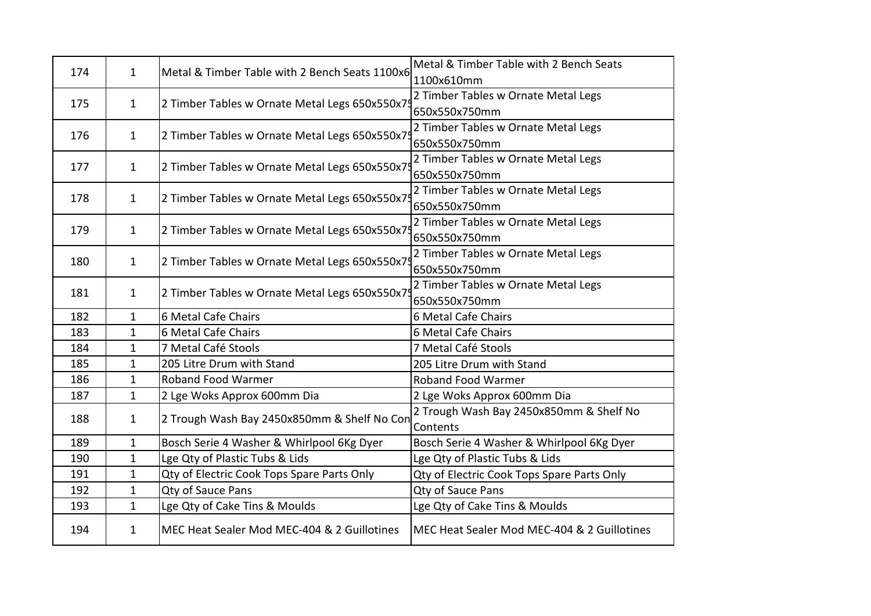| 174 | $\mathbf{1}$ | Metal & Timber Table with 2 Bench Seats 1100x6 | Metal & Timber Table with 2 Bench Seats     |
|-----|--------------|------------------------------------------------|---------------------------------------------|
|     |              |                                                | 1100x610mm                                  |
| 175 | $\mathbf{1}$ | 2 Timber Tables w Ornate Metal Legs 650x550x7  | 2 Timber Tables w Ornate Metal Legs         |
|     |              |                                                | 650x550x750mm                               |
| 176 | $\mathbf{1}$ | 2 Timber Tables w Ornate Metal Legs 650x550x7! | 2 Timber Tables w Ornate Metal Legs         |
|     |              |                                                | 650x550x750mm                               |
| 177 | $\mathbf{1}$ | 2 Timber Tables w Ornate Metal Legs 650x550x7  | 2 Timber Tables w Ornate Metal Legs         |
|     |              |                                                | 650x550x750mm                               |
| 178 | $\mathbf{1}$ | 2 Timber Tables w Ornate Metal Legs 650x550x7  | 2 Timber Tables w Ornate Metal Legs         |
|     |              |                                                | 650x550x750mm                               |
| 179 | $\mathbf{1}$ | 2 Timber Tables w Ornate Metal Legs 650x550x7! | 2 Timber Tables w Ornate Metal Legs         |
|     |              |                                                | 650x550x750mm                               |
| 180 | $\mathbf{1}$ | 2 Timber Tables w Ornate Metal Legs 650x550x7! | 2 Timber Tables w Ornate Metal Legs         |
|     |              |                                                | 650x550x750mm                               |
| 181 | $\mathbf{1}$ | 2 Timber Tables w Ornate Metal Legs 650x550x7! | 2 Timber Tables w Ornate Metal Legs         |
|     |              |                                                | 650x550x750mm                               |
| 182 | $\mathbf{1}$ | 6 Metal Cafe Chairs                            | 6 Metal Cafe Chairs                         |
| 183 | 1            | 6 Metal Cafe Chairs                            | 6 Metal Cafe Chairs                         |
| 184 | $\mathbf{1}$ | 7 Metal Café Stools                            | 7 Metal Café Stools                         |
| 185 | $\mathbf 1$  | 205 Litre Drum with Stand                      | 205 Litre Drum with Stand                   |
| 186 | 1            | <b>Roband Food Warmer</b>                      | <b>Roband Food Warmer</b>                   |
| 187 | $\mathbf{1}$ | 2 Lge Woks Approx 600mm Dia                    | 2 Lge Woks Approx 600mm Dia                 |
| 188 | $\mathbf{1}$ | 2 Trough Wash Bay 2450x850mm & Shelf No Con    | 2 Trough Wash Bay 2450x850mm & Shelf No     |
|     |              |                                                | Contents                                    |
| 189 | $\mathbf{1}$ | Bosch Serie 4 Washer & Whirlpool 6Kg Dyer      | Bosch Serie 4 Washer & Whirlpool 6Kg Dyer   |
| 190 | $\mathbf{1}$ | Lge Qty of Plastic Tubs & Lids                 | Lge Qty of Plastic Tubs & Lids              |
| 191 | 1            | Qty of Electric Cook Tops Spare Parts Only     | Qty of Electric Cook Tops Spare Parts Only  |
| 192 | $\mathbf{1}$ | Qty of Sauce Pans                              | Qty of Sauce Pans                           |
| 193 | $\mathbf{1}$ | Lge Qty of Cake Tins & Moulds                  | Lge Qty of Cake Tins & Moulds               |
| 194 | $\mathbf{1}$ | MEC Heat Sealer Mod MEC-404 & 2 Guillotines    | MEC Heat Sealer Mod MEC-404 & 2 Guillotines |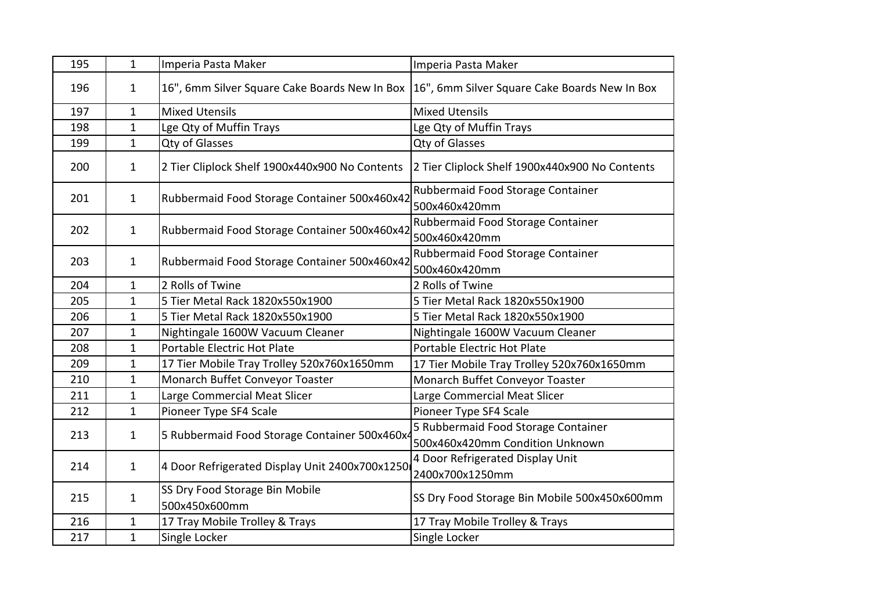| 195 | $\mathbf{1}$ | Imperia Pasta Maker                                                                         | Imperia Pasta Maker                                 |
|-----|--------------|---------------------------------------------------------------------------------------------|-----------------------------------------------------|
| 196 | $\mathbf{1}$ | 16", 6mm Silver Square Cake Boards New In Box 16", 6mm Silver Square Cake Boards New In Box |                                                     |
| 197 | $\mathbf{1}$ | <b>Mixed Utensils</b>                                                                       | <b>Mixed Utensils</b>                               |
| 198 | $\mathbf{1}$ | Lge Qty of Muffin Trays                                                                     | Lge Qty of Muffin Trays                             |
| 199 | $\mathbf{1}$ | <b>Qty of Glasses</b>                                                                       | <b>Qty of Glasses</b>                               |
| 200 | $\mathbf{1}$ | 2 Tier Cliplock Shelf 1900x440x900 No Contents                                              | 2 Tier Cliplock Shelf 1900x440x900 No Contents      |
| 201 | $\mathbf{1}$ | Rubbermaid Food Storage Container 500x460x42                                                | Rubbermaid Food Storage Container<br>500x460x420mm  |
| 202 | $\mathbf{1}$ | Rubbermaid Food Storage Container 500x460x42                                                | Rubbermaid Food Storage Container<br>500x460x420mm  |
| 203 | $\mathbf{1}$ | Rubbermaid Food Storage Container 500x460x42                                                | Rubbermaid Food Storage Container<br>500x460x420mm  |
| 204 | $\mathbf{1}$ | 2 Rolls of Twine                                                                            | 2 Rolls of Twine                                    |
| 205 | $\mathbf{1}$ | 5 Tier Metal Rack 1820x550x1900                                                             | 5 Tier Metal Rack 1820x550x1900                     |
| 206 | $\mathbf{1}$ | 5 Tier Metal Rack 1820x550x1900                                                             | 5 Tier Metal Rack 1820x550x1900                     |
| 207 | $\mathbf 1$  | Nightingale 1600W Vacuum Cleaner                                                            | Nightingale 1600W Vacuum Cleaner                    |
| 208 | $\mathbf{1}$ | Portable Electric Hot Plate                                                                 | Portable Electric Hot Plate                         |
| 209 | $\mathbf{1}$ | 17 Tier Mobile Tray Trolley 520x760x1650mm                                                  | 17 Tier Mobile Tray Trolley 520x760x1650mm          |
| 210 | $\mathbf{1}$ | Monarch Buffet Conveyor Toaster                                                             | Monarch Buffet Conveyor Toaster                     |
| 211 | $\mathbf{1}$ | Large Commercial Meat Slicer                                                                | Large Commercial Meat Slicer                        |
| 212 | $\mathbf{1}$ | Pioneer Type SF4 Scale                                                                      | Pioneer Type SF4 Scale                              |
| 213 | $\mathbf{1}$ | 5 Rubbermaid Food Storage Container 500x460x                                                | 5 Rubbermaid Food Storage Container                 |
|     |              |                                                                                             | 500x460x420mm Condition Unknown                     |
| 214 | $\mathbf{1}$ | 4 Door Refrigerated Display Unit 2400x700x1250                                              | 4 Door Refrigerated Display Unit<br>2400x700x1250mm |
|     |              | SS Dry Food Storage Bin Mobile                                                              |                                                     |
| 215 | $\mathbf{1}$ | 500x450x600mm                                                                               | SS Dry Food Storage Bin Mobile 500x450x600mm        |
| 216 | 1            | 17 Tray Mobile Trolley & Trays                                                              | 17 Tray Mobile Trolley & Trays                      |
| 217 | $\mathbf{1}$ | Single Locker                                                                               | Single Locker                                       |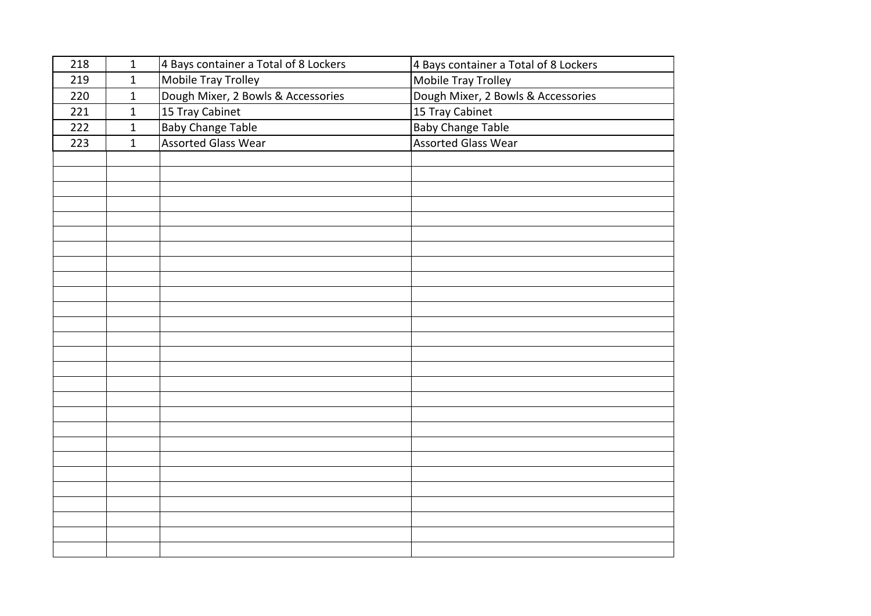| 218 | $\mathbf 1$  | 4 Bays container a Total of 8 Lockers | 4 Bays container a Total of 8 Lockers |
|-----|--------------|---------------------------------------|---------------------------------------|
| 219 | $\mathbf{1}$ | <b>Mobile Tray Trolley</b>            | <b>Mobile Tray Trolley</b>            |
| 220 | $\mathbf{1}$ | Dough Mixer, 2 Bowls & Accessories    | Dough Mixer, 2 Bowls & Accessories    |
| 221 | $\mathbf{1}$ | 15 Tray Cabinet                       | 15 Tray Cabinet                       |
| 222 | $\mathbf 1$  | <b>Baby Change Table</b>              | <b>Baby Change Table</b>              |
| 223 | $\mathbf{1}$ | <b>Assorted Glass Wear</b>            | <b>Assorted Glass Wear</b>            |
|     |              |                                       |                                       |
|     |              |                                       |                                       |
|     |              |                                       |                                       |
|     |              |                                       |                                       |
|     |              |                                       |                                       |
|     |              |                                       |                                       |
|     |              |                                       |                                       |
|     |              |                                       |                                       |
|     |              |                                       |                                       |
|     |              |                                       |                                       |
|     |              |                                       |                                       |
|     |              |                                       |                                       |
|     |              |                                       |                                       |
|     |              |                                       |                                       |
|     |              |                                       |                                       |
|     |              |                                       |                                       |
|     |              |                                       |                                       |
|     |              |                                       |                                       |
|     |              |                                       |                                       |
|     |              |                                       |                                       |
|     |              |                                       |                                       |
|     |              |                                       |                                       |
|     |              |                                       |                                       |
|     |              |                                       |                                       |
|     |              |                                       |                                       |
|     |              |                                       |                                       |